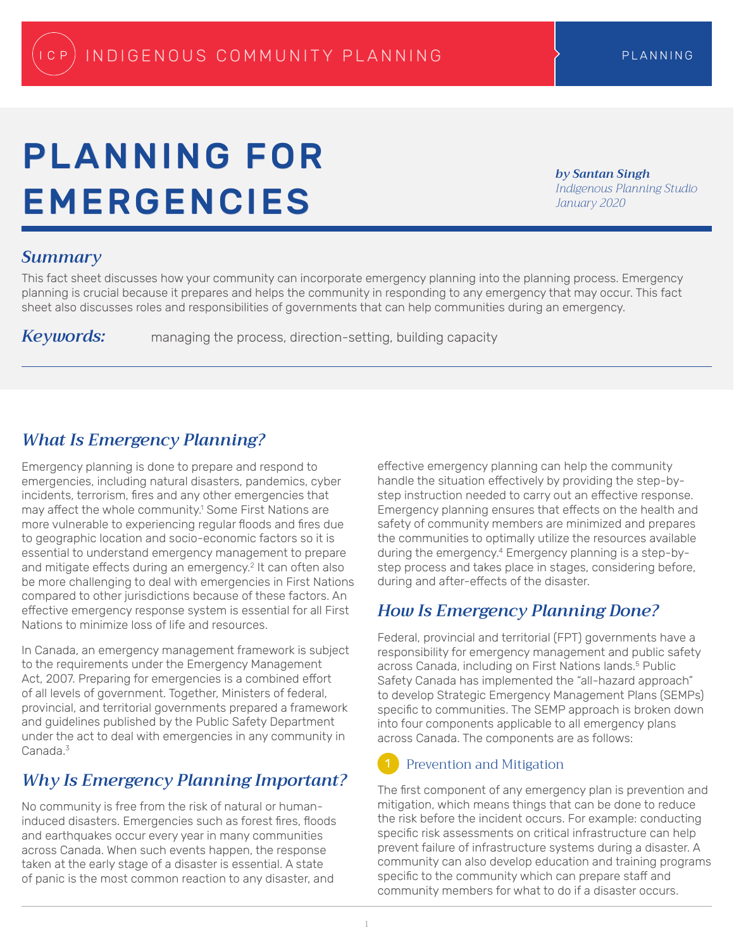# PLANNING FOR EMERGENCIES

*by Santan Singh Indigenous Planning Studio January 2020*

## *Summary*

This fact sheet discusses how your community can incorporate emergency planning into the planning process. Emergency planning is crucial because it prepares and helps the community in responding to any emergency that may occur. This fact sheet also discusses roles and responsibilities of governments that can help communities during an emergency.

*Keywords:* managing the process, direction-setting, building capacity

# *What Is Emergency Planning?*

Emergency planning is done to prepare and respond to emergencies, including natural disasters, pandemics, cyber incidents, terrorism, fires and any other emergencies that may affect the whole community.<sup>1</sup> Some First Nations are more vulnerable to experiencing regular floods and fires due to geographic location and socio-economic factors so it is essential to understand emergency management to prepare and mitigate effects during an emergency.<sup>2</sup> It can often also be more challenging to deal with emergencies in First Nations compared to other jurisdictions because of these factors. An effective emergency response system is essential for all First Nations to minimize loss of life and resources.

In Canada, an emergency management framework is subject to the requirements under the Emergency Management Act, 2007. Preparing for emergencies is a combined effort of all levels of government. Together, Ministers of federal, provincial, and territorial governments prepared a framework and guidelines published by the Public Safety Department under the act to deal with emergencies in any community in Canada.<sup>3</sup>

# *Why Is Emergency Planning Important?*

No community is free from the risk of natural or humaninduced disasters. Emergencies such as forest fires, floods and earthquakes occur every year in many communities across Canada. When such events happen, the response taken at the early stage of a disaster is essential. A state of panic is the most common reaction to any disaster, and

effective emergency planning can help the community handle the situation effectively by providing the step-bystep instruction needed to carry out an effective response. Emergency planning ensures that effects on the health and safety of community members are minimized and prepares the communities to optimally utilize the resources available during the emergency.4 Emergency planning is a step-bystep process and takes place in stages, considering before, during and after-effects of the disaster.

# *How Is Emergency Planning Done?*

Federal, provincial and territorial (FPT) governments have a responsibility for emergency management and public safety across Canada, including on First Nations lands.<sup>5</sup> Public Safety Canada has implemented the "all-hazard approach" to develop Strategic Emergency Management Plans (SEMPs) specific to communities. The SEMP approach is broken down into four components applicable to all emergency plans across Canada. The components are as follows:

#### Prevention and Mitigation 1

The first component of any emergency plan is prevention and mitigation, which means things that can be done to reduce the risk before the incident occurs. For example: conducting specific risk assessments on critical infrastructure can help prevent failure of infrastructure systems during a disaster. A community can also develop education and training programs specific to the community which can prepare staff and community members for what to do if a disaster occurs.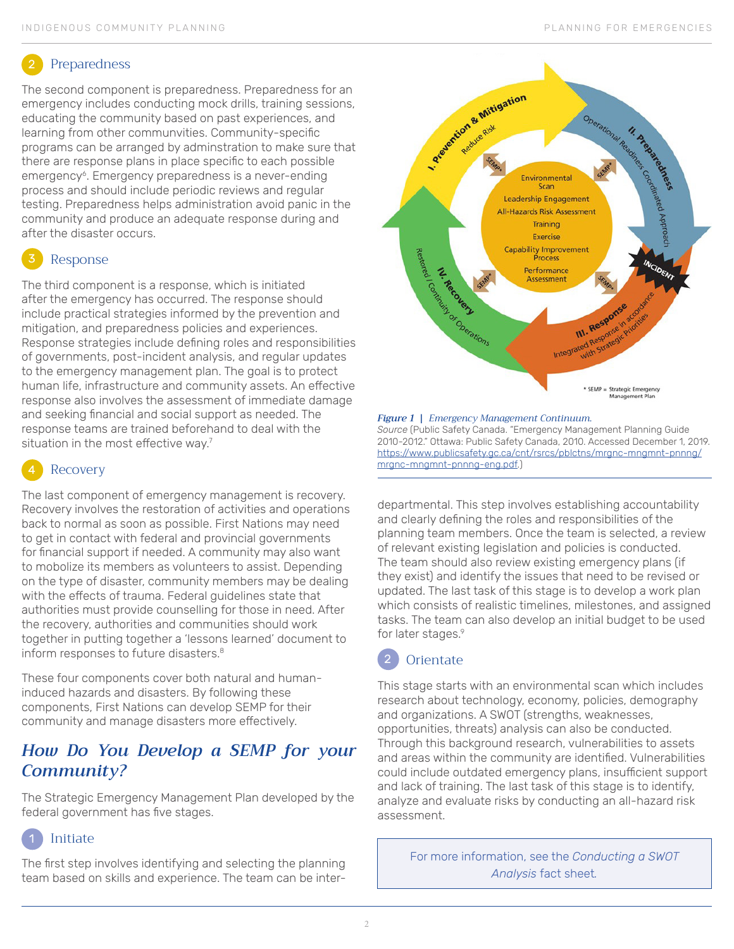## Preparedness

The second component is preparedness. Preparedness for an emergency includes conducting mock drills, training sessions, educating the community based on past experiences, and learning from other communvities. Community-specific programs can be arranged by adminstration to make sure that there are response plans in place specific to each possible emergency<sup>6</sup>. Emergency preparedness is a never-ending process and should include periodic reviews and regular testing. Preparedness helps administration avoid panic in the community and produce an adequate response during and after the disaster occurs.

# Response

The third component is a response, which is initiated after the emergency has occurred. The response should include practical strategies informed by the prevention and mitigation, and preparedness policies and experiences. Response strategies include defining roles and responsibilities of governments, post-incident analysis, and regular updates to the emergency management plan. The goal is to protect human life, infrastructure and community assets. An effective response also involves the assessment of immediate damage and seeking financial and social support as needed. The response teams are trained beforehand to deal with the situation in the most effective way.<sup>7</sup>

# Recovery

The last component of emergency management is recovery. Recovery involves the restoration of activities and operations back to normal as soon as possible. First Nations may need to get in contact with federal and provincial governments for financial support if needed. A community may also want to mobolize its members as volunteers to assist. Depending on the type of disaster, community members may be dealing with the effects of trauma. Federal guidelines state that authorities must provide counselling for those in need. After the recovery, authorities and communities should work together in putting together a 'lessons learned' document to inform responses to future disasters.<sup>8</sup>

These four components cover both natural and humaninduced hazards and disasters. By following these components, First Nations can develop SEMP for their community and manage disasters more effectively.

# *How Do You Develop a SEMP for your Community?*

The Strategic Emergency Management Plan developed by the federal government has five stages.

## Initiate 1

The first step involves identifying and selecting the planning team based on skills and experience. The team can be inter-



## *Figure 1 | Emergency Management Continuum. Source* (Public Safety Canada. "Emergency Management Planning Guide 2010-2012." Ottawa: Public Safety Canada, 2010. Accessed December 1, 2019. [https://www.publicsafety.gc.ca/cnt/rsrcs/pblctns/mrgnc-mngmnt-pnnng/](https://www.publicsafety.gc.ca/cnt/rsrcs/pblctns/mrgnc-mngmnt-pnnng/mrgnc-mngmnt-pnnng-eng.pdf) [mrgnc-mngmnt-pnnng-eng.pdf.](https://www.publicsafety.gc.ca/cnt/rsrcs/pblctns/mrgnc-mngmnt-pnnng/mrgnc-mngmnt-pnnng-eng.pdf))

departmental. This step involves establishing accountability and clearly defining the roles and responsibilities of the planning team members. Once the team is selected, a review of relevant existing legislation and policies is conducted. The team should also review existing emergency plans (if they exist) and identify the issues that need to be revised or updated. The last task of this stage is to develop a work plan which consists of realistic timelines, milestones, and assigned tasks. The team can also develop an initial budget to be used for later stages.9



This stage starts with an environmental scan which includes research about technology, economy, policies, demography and organizations. A SWOT (strengths, weaknesses, opportunities, threats) analysis can also be conducted. Through this background research, vulnerabilities to assets and areas within the community are identified. Vulnerabilities could include outdated emergency plans, insufficient support and lack of training. The last task of this stage is to identify, analyze and evaluate risks by conducting an all-hazard risk assessment.

For more information, see the *Conducting a SWOT Analysis* fact sheet*.*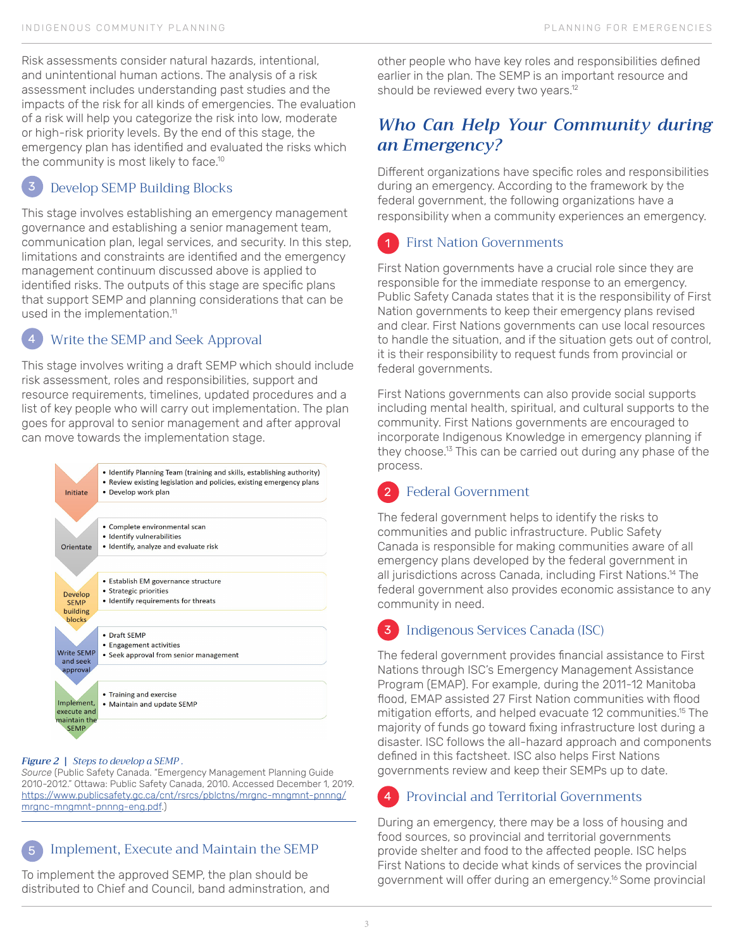Risk assessments consider natural hazards, intentional, and unintentional human actions. The analysis of a risk assessment includes understanding past studies and the impacts of the risk for all kinds of emergencies. The evaluation of a risk will help you categorize the risk into low, moderate or high-risk priority levels. By the end of this stage, the emergency plan has identified and evaluated the risks which the community is most likely to face.10

### Develop SEMP Building Blocks 3

This stage involves establishing an emergency management governance and establishing a senior management team, communication plan, legal services, and security. In this step, limitations and constraints are identified and the emergency management continuum discussed above is applied to identified risks. The outputs of this stage are specific plans that support SEMP and planning considerations that can be used in the implementation.<sup>11</sup>

#### Write the SEMP and Seek Approval 4

This stage involves writing a draft SEMP which should include risk assessment, roles and responsibilities, support and resource requirements, timelines, updated procedures and a list of key people who will carry out implementation. The plan goes for approval to senior management and after approval can move towards the implementation stage.



## *Figure 2 | Steps to develop a SEMP .*

5

*Source* (Public Safety Canada. "Emergency Management Planning Guide 2010-2012." Ottawa: Public Safety Canada, 2010. Accessed December 1, 2019. [https://www.publicsafety.gc.ca/cnt/rsrcs/pblctns/mrgnc-mngmnt-pnnng/](https://www.publicsafety.gc.ca/cnt/rsrcs/pblctns/mrgnc-mngmnt-pnnng/mrgnc-mngmnt-pnnng-eng.pdf) [mrgnc-mngmnt-pnnng-eng.pdf.](https://www.publicsafety.gc.ca/cnt/rsrcs/pblctns/mrgnc-mngmnt-pnnng/mrgnc-mngmnt-pnnng-eng.pdf))

## Implement, Execute and Maintain the SEMP

To implement the approved SEMP, the plan should be distributed to Chief and Council, band adminstration, and other people who have key roles and responsibilities defined earlier in the plan. The SEMP is an important resource and should be reviewed every two years.<sup>12</sup>

# *Who Can Help Your Community during an Emergency?*

Different organizations have specific roles and responsibilities during an emergency. According to the framework by the federal government, the following organizations have a responsibility when a community experiences an emergency.

## First Nation Governments 1

First Nation governments have a crucial role since they are responsible for the immediate response to an emergency. Public Safety Canada states that it is the responsibility of First Nation governments to keep their emergency plans revised and clear. First Nations governments can use local resources to handle the situation, and if the situation gets out of control, it is their responsibility to request funds from provincial or federal governments.

First Nations governments can also provide social supports including mental health, spiritual, and cultural supports to the community. First Nations governments are encouraged to incorporate Indigenous Knowledge in emergency planning if they choose.13 This can be carried out during any phase of the process.

## Federal Government  $\overline{2}$

The federal government helps to identify the risks to communities and public infrastructure. Public Safety Canada is responsible for making communities aware of all emergency plans developed by the federal government in all jurisdictions across Canada, including First Nations.14 The federal government also provides economic assistance to any community in need.

## Indigenous Services Canada (ISC) 3

The federal government provides financial assistance to First Nations through ISC's Emergency Management Assistance Program (EMAP). For example, during the 2011-12 Manitoba flood, EMAP assisted 27 First Nation communities with flood mitigation efforts, and helped evacuate 12 communities.15 The majority of funds go toward fixing infrastructure lost during a disaster. ISC follows the all-hazard approach and components defined in this factsheet. ISC also helps First Nations governments review and keep their SEMPs up to date.

#### Provincial and Territorial Governments 4

During an emergency, there may be a loss of housing and food sources, so provincial and territorial governments provide shelter and food to the affected people. ISC helps First Nations to decide what kinds of services the provincial government will offer during an emergency.16 Some provincial